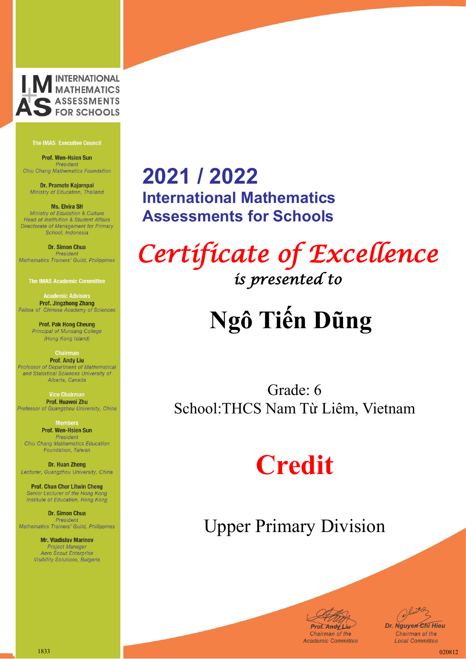

Prof. Wen-Hsien Sun President Chiu Chang Mathematics Foundation

Dr. Pramote Kajornpai Ministry of Education, Thailand

**Ms. Elvira SH** Ministry of Education & Culture Head of Institution & Student Affairs Directorate of Management for Primary School, Indonesia

Dr. Simon Chua President Mathematics Trainers' Guild, Philippines

**The IMAS Academic Committee** 

**Academic Advisors Prof. Jingzhong Zhang** Fellow of Chinese Academy of Sciences

> **Prof. Pak Hong Cheung** Principal of Munsang College (Hong Kong Island)

**Chairman Prof. Andy Liu** Professor of Department of Mathematical and Statistical Sciences University of Alberta, Canada

**Vice Chairma** Prof. Huawei Zhu Professor of Guangzhou University, China

> **Members** Prof. Wen-Hsien Sun President

Chiu Chang Mathematics Education Foundation, Taiwan

Dr. Huan Zheng Lecturer, Guangzhou University, China

**Prof. Chun Chor Litwin Cheng** Senior Lecturer of the Hong Kong Institute of Education, Hong Kong

Dr. Simon Chua President Mathematics Trainers' Guild, Philippines

> **Mr. Vladislav Marinov Project Manager Aero Scout Enterprise** Visibility Solutions, Bulgaria

### **2021 / 2022 International Mathematics Assessments for Schools**

*Certificate of Excellence is presented to* 

## **Ngô Tiến Dũng**

Grade: 6 School:THCS Nam Từ Liêm, Vietnam

## **Credit**



Juster *Dr. Nguyen Chi Hieu* Chairman of the **Local Committee**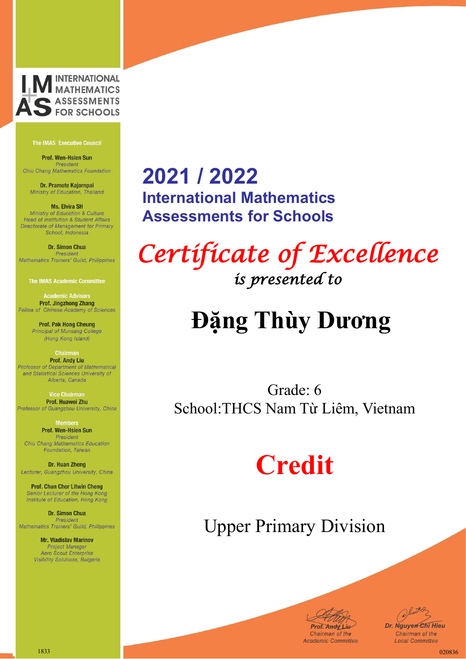

Prof. Wen-Hsien Sun President Chiu Chang Mathematics Foundation

Dr. Pramote Kajornpai Ministry of Education, Thailand

**Ms. Elvira SH** Ministry of Education & Culture Head of Institution & Student Affairs Directorate of Management for Primary School, Indonesia

Dr. Simon Chua President Mathematics Trainers' Guild, Philippines

**The IMAS Academic Committee** 

**Academic Advisors Prof. Jingzhong Zhang** Fellow of Chinese Academy of Sciences

> **Prof. Pak Hong Cheung** Principal of Munsang College (Hong Kong Island)

**Chairman Prof. Andy Liu** Professor of Department of Mathematical and Statistical Sciences University of Alberta, Canada

**Vice Chairma** Prof. Huawei Zhu Professor of Guangzhou University, China

> **Members** Prof. Wen-Hsien Sun President

Chiu Chang Mathematics Education Foundation, Taiwan

Dr. Huan Zheng Lecturer, Guangzhou University, China

**Prof. Chun Chor Litwin Cheng** Senior Lecturer of the Hong Kong Institute of Education, Hong Kong

Dr. Simon Chua President Mathematics Trainers' Guild, Philippines

> **Mr. Vladislav Marinov Project Manager Aero Scout Enterprise** Visibility Solutions, Bulgaria

### **2021 / 2022 International Mathematics Assessments for Schools**

*Certificate of Excellence is presented to* 

## **Đặng Thùy Dương**

Grade: 6 School:THCS Nam Từ Liêm, Vietnam

## **Credit**



Juster *Dr. Nguyen Chi Hieu* Chairman of the **Local Committee**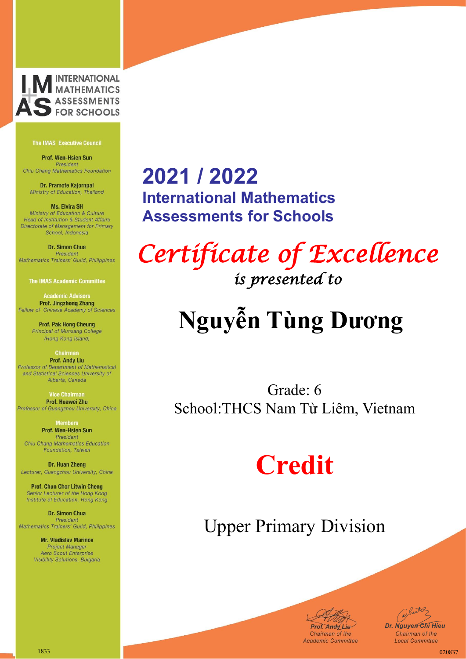

Prof. Wen-Hsien Sun President Chiu Chang Mathematics Foundation

Dr. Pramote Kajornpai Ministry of Education, Thailand

**Ms. Elvira SH** Ministry of Education & Culture Head of Institution & Student Affairs Directorate of Management for Primary School, Indonesia

Dr. Simon Chua President Mathematics Trainers' Guild, Philippines

**The IMAS Academic Committee** 

**Academic Advisors Prof. Jingzhong Zhang** Fellow of Chinese Academy of Sciences

> **Prof. Pak Hong Cheung** Principal of Munsang College (Hong Kong Island)

**Chairman Prof. Andy Liu** Professor of Department of Mathematical and Statistical Sciences University of Alberta, Canada

**Vice Chairma** Prof. Huawei Zhu Professor of Guangzhou University, China

> **Members** Prof. Wen-Hsien Sun President

Chiu Chang Mathematics Education Foundation, Taiwan

Dr. Huan Zheng Lecturer, Guangzhou University, China

**Prof. Chun Chor Litwin Cheng** Senior Lecturer of the Hong Kong Institute of Education, Hong Kong

Dr. Simon Chua President Mathematics Trainers' Guild, Philippines

> **Mr. Vladislav Marinov Project Manager** Aero Scout Enterprise Visibility Solutions, Bulgaria

### **2021 / 2022 International Mathematics Assessments for Schools**

*Certificate of Excellence is presented to* 

# **Nguyễn Tùng Dương**

Grade: 6 School:THCS Nam Từ Liêm, Vietnam

## **Credit**



*Dr. Nguyen Chi Hieu* Chairman of the **Local Committee**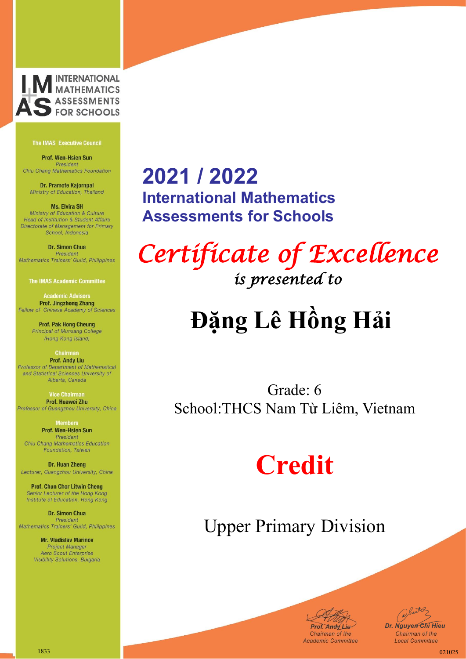

Prof. Wen-Hsien Sun President Chiu Chang Mathematics Foundation

Dr. Pramote Kajornpai Ministry of Education, Thailand

**Ms. Elvira SH** Ministry of Education & Culture Head of Institution & Student Affairs Directorate of Management for Primary School, Indonesia

Dr. Simon Chua President Mathematics Trainers' Guild, Philippines

**The IMAS Academic Committee** 

**Academic Advisors Prof. Jingzhong Zhang** Fellow of Chinese Academy of Sciences

> **Prof. Pak Hong Cheung** Principal of Munsang College (Hong Kong Island)

**Chairman Prof. Andy Liu** Professor of Department of Mathematical and Statistical Sciences University of Alberta, Canada

**Vice Chairma** Prof. Huawei Zhu Professor of Guangzhou University, China

> **Members** Prof. Wen-Hsien Sun President

Chiu Chang Mathematics Education Foundation, Taiwan

Dr. Huan Zheng Lecturer, Guangzhou University, China

**Prof. Chun Chor Litwin Cheng** Senior Lecturer of the Hong Kong Institute of Education, Hong Kong

Dr. Simon Chua President Mathematics Trainers' Guild, Philippines

> **Mr. Vladislav Marinov Project Manager** Aero Scout Enterprise Visibility Solutions, Bulgaria

### **2021 / 2022 International Mathematics Assessments for Schools**

*Certificate of Excellence is presented to* 

# **Đặng Lê Hồng Hải**

Grade: 6 School:THCS Nam Từ Liêm, Vietnam

## **Credit**



Juster *Dr. Nguyen Chi Hieu* Chairman of the **Local Committee**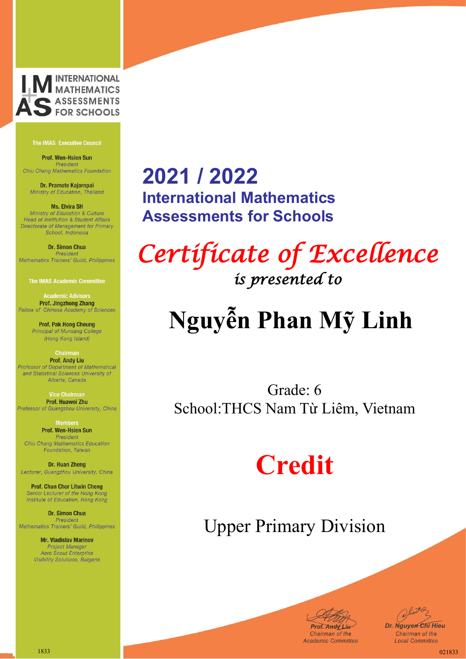

Prof. Wen-Hsien Sun President Chiu Chang Mathematics Foundation

Dr. Pramote Kajornpai Ministry of Education, Thailand

**Ms. Elvira SH** Ministry of Education & Culture Head of Institution & Student Affairs Directorate of Management for Primary School, Indonesia

Dr. Simon Chua President Mathematics Trainers' Guild, Philippines

**The IMAS Academic Committee** 

**Academic Advisors Prof. Jingzhong Zhang** Fellow of Chinese Academy of Sciences

> **Prof. Pak Hong Cheung** Principal of Munsang College (Hong Kong Island)

**Chairman Prof. Andy Liu** Professor of Department of Mathematical and Statistical Sciences University of Alberta, Canada

**Vice Chairma** Prof. Huawei Zhu Professor of Guangzhou University, China

> **Members** Prof. Wen-Hsien Sun President

Chiu Chang Mathematics Education Foundation, Taiwan

Dr. Huan Zheng Lecturer, Guangzhou University, China

**Prof. Chun Chor Litwin Cheng** Senior Lecturer of the Hong Kong Institute of Education, Hong Kong

Dr. Simon Chua President Mathematics Trainers' Guild, Philippines

> **Mr. Vladislav Marinov Project Manager** Aero Scout Enterprise Visibility Solutions, Bulgaria

### **2021 / 2022 International Mathematics Assessments for Schools**

*Certificate of Excellence is presented to* 

# **Nguyễn Phan Mỹ Linh**

Grade: 6 School:THCS Nam Từ Liêm, Vietnam

## **Credit**



Juster *Dr. Nguyen Chi Hieu* Chairman of the **Local Committee**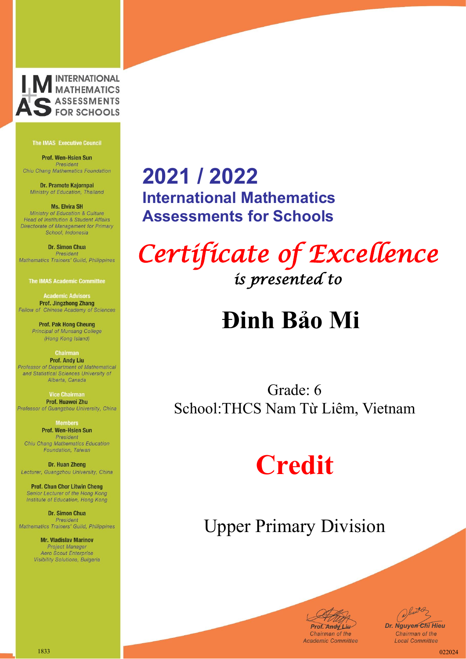

Prof. Wen-Hsien Sun President Chiu Chang Mathematics Foundation

Dr. Pramote Kajornpai Ministry of Education, Thailand

**Ms. Elvira SH** Ministry of Education & Culture Head of Institution & Student Affairs Directorate of Management for Primary School, Indonesia

Dr. Simon Chua President Mathematics Trainers' Guild, Philippines

**The IMAS Academic Committee** 

**Academic Advisors Prof. Jingzhong Zhang** Fellow of Chinese Academy of Sciences

> **Prof. Pak Hong Cheung** Principal of Munsang College (Hong Kong Island)

**Chairman Prof. Andy Liu** Professor of Department of Mathematical and Statistical Sciences University of Alberta, Canada

**Vice Chairma** Prof. Huawei Zhu Professor of Guangzhou University, China

> **Members** Prof. Wen-Hsien Sun President

Chiu Chang Mathematics Education Foundation, Taiwan

Dr. Huan Zheng Lecturer, Guangzhou University, China

**Prof. Chun Chor Litwin Cheng** Senior Lecturer of the Hong Kong Institute of Education, Hong Kong

Dr. Simon Chua President Mathematics Trainers' Guild, Philippines

> **Mr. Vladislav Marinov Project Manager** Aero Scout Enterprise Visibility Solutions, Bulgaria

### **2021 / 2022 International Mathematics Assessments for Schools**

*Certificate of Excellence is presented to* 

## **Đinh Bảo Mi**

Grade: 6 School:THCS Nam Từ Liêm, Vietnam

## **Credit**



Junited *Dr. Nguyen Chi Hieu* Chairman of the **Local Committee**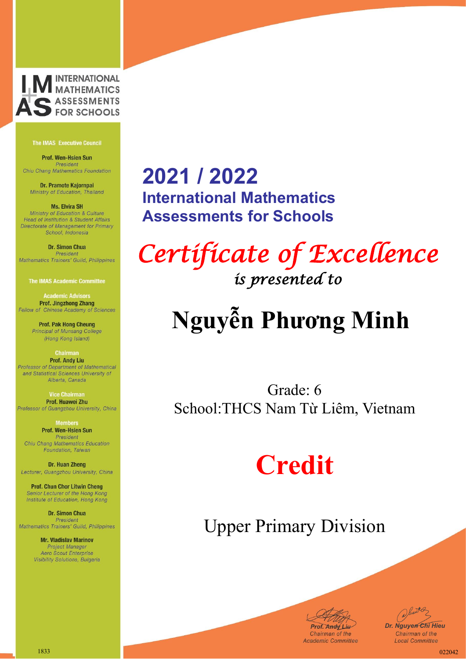

Prof. Wen-Hsien Sun President Chiu Chang Mathematics Foundation

Dr. Pramote Kajornpai Ministry of Education, Thailand

**Ms. Elvira SH** Ministry of Education & Culture Head of Institution & Student Affairs Directorate of Management for Primary School, Indonesia

Dr. Simon Chua President Mathematics Trainers' Guild, Philippines

**The IMAS Academic Committee** 

**Academic Advisors Prof. Jingzhong Zhang** Fellow of Chinese Academy of Sciences

> **Prof. Pak Hong Cheung** Principal of Munsang College (Hong Kong Island)

**Chairman Prof. Andy Liu** Professor of Department of Mathematical and Statistical Sciences University of Alberta, Canada

**Vice Chairma** Prof. Huawei Zhu Professor of Guangzhou University, China

> **Members** Prof. Wen-Hsien Sun President

Chiu Chang Mathematics Education Foundation, Taiwan

Dr. Huan Zheng Lecturer, Guangzhou University, China

**Prof. Chun Chor Litwin Cheng** Senior Lecturer of the Hong Kong Institute of Education, Hong Kong

Dr. Simon Chua President Mathematics Trainers' Guild, Philippines

> **Mr. Vladislav Marinov Project Manager** Aero Scout Enterprise Visibility Solutions, Bulgaria

### **2021 / 2022 International Mathematics Assessments for Schools**

*Certificate of Excellence is presented to* 

# **Nguyễn Phương Minh**

Grade: 6 School:THCS Nam Từ Liêm, Vietnam

## **Credit**



Juster *Dr. Nguyen Chi Hieu* Chairman of the **Local Committee**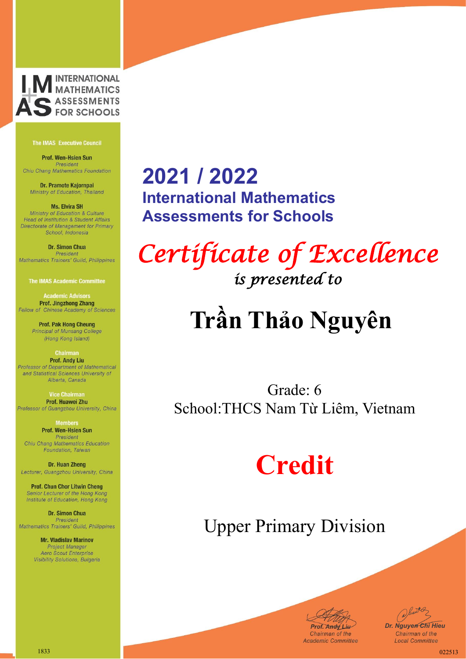

Prof. Wen-Hsien Sun President Chiu Chang Mathematics Foundation

Dr. Pramote Kajornpai Ministry of Education, Thailand

**Ms. Elvira SH** Ministry of Education & Culture Head of Institution & Student Affairs Directorate of Management for Primary School, Indonesia

Dr. Simon Chua President Mathematics Trainers' Guild, Philippines

**The IMAS Academic Committee** 

**Academic Advisors Prof. Jingzhong Zhang** Fellow of Chinese Academy of Sciences

> **Prof. Pak Hong Cheung** Principal of Munsang College (Hong Kong Island)

**Chairman Prof. Andy Liu** Professor of Department of Mathematical and Statistical Sciences University of Alberta, Canada

**Vice Chairma** Prof. Huawei Zhu Professor of Guangzhou University, China

> **Members** Prof. Wen-Hsien Sun President

Chiu Chang Mathematics Education Foundation, Taiwan

Dr. Huan Zheng Lecturer, Guangzhou University, China

**Prof. Chun Chor Litwin Cheng** Senior Lecturer of the Hong Kong Institute of Education, Hong Kong

Dr. Simon Chua President Mathematics Trainers' Guild, Philippines

> **Mr. Vladislav Marinov Project Manager** Aero Scout Enterprise Visibility Solutions, Bulgaria

### **2021 / 2022 International Mathematics Assessments for Schools**

*Certificate of Excellence is presented to* 

# **Trần Thảo Nguyên**

Grade: 6 School:THCS Nam Từ Liêm, Vietnam

## **Credit**



Juster *Dr. Nguyen Chi Hieu* Chairman of the **Local Committee**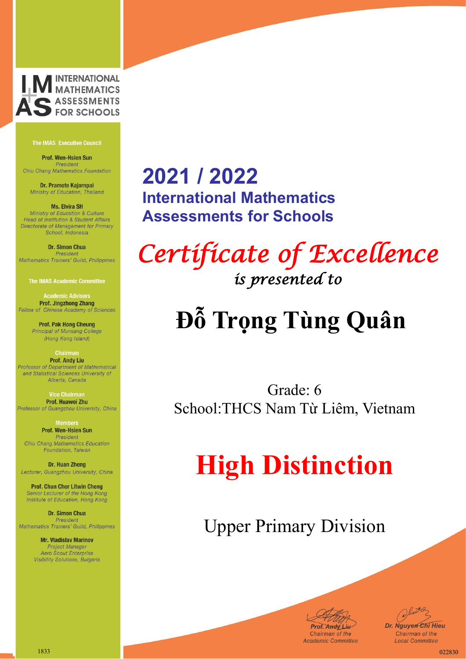

Prof. Wen-Hsien Sun President Chiu Chang Mathematics Foundation

Dr. Pramote Kajornpai Ministry of Education, Thailand

**Ms. Elvira SH** Ministry of Education & Culture Head of Institution & Student Affairs Directorate of Management for Primary School, Indonesia

**Dr. Simon Chua** President Mathematics Trainers' Guild, Philippines

**The IMAS Academic Committee** 

**Academic Advisors Prof. Jingzhong Zhang** Fellow of Chinese Academy of Sciences

> **Prof. Pak Hong Cheung** Principal of Munsang College (Hong Kong Island)

**Chairman Prof. Andy Liu** Professor of Department of Mathematical and Statistical Sciences University of Alberta, Canada

**Vice Chairma** Prof. Huawei Zhu Professor of Guangzhou University, China

> **Members** Prof. Wen-Hsien Sun President

Chiu Chang Mathematics Education Foundation, Taiwan

Dr. Huan Zheng Lecturer, Guangzhou University, China

**Prof. Chun Chor Litwin Cheng** Senior Lecturer of the Hong Kong Institute of Education, Hong Kong

Dr. Simon Chua President Mathematics Trainers' Guild, Philippines

> **Mr. Vladislav Marinov Project Manager** Aero Scout Enterprise Visibility Solutions, Bulgaria

### **2021 / 2022 International Mathematics Assessments for Schools**

*Certificate of Excellence is presented to* 

## **Đỗ Trọng Tùng Quân**

Grade: 6 School:THCS Nam Từ Liêm, Vietnam

## **High Distinction**

Upper Primary Division



Junited *Dr. Nguyen Chi Hieu* Chairman of the **Local Committee** 

1833 022830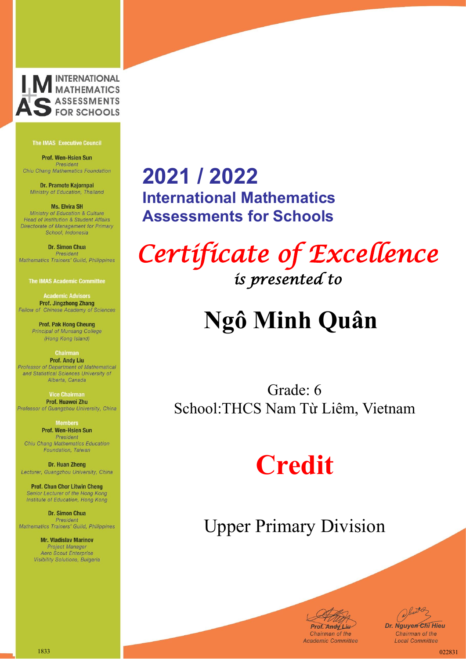

Prof. Wen-Hsien Sun President Chiu Chang Mathematics Foundation

Dr. Pramote Kajornpai Ministry of Education, Thailand

**Ms. Elvira SH** Ministry of Education & Culture Head of Institution & Student Affairs Directorate of Management for Primary School, Indonesia

Dr. Simon Chua President Mathematics Trainers' Guild, Philippines

**The IMAS Academic Committee** 

**Academic Advisors Prof. Jingzhong Zhang** Fellow of Chinese Academy of Sciences

> **Prof. Pak Hong Cheung** Principal of Munsang College (Hong Kong Island)

**Chairman Prof. Andy Liu** Professor of Department of Mathematical and Statistical Sciences University of Alberta, Canada

**Vice Chairma** Prof. Huawei Zhu Professor of Guangzhou University, China

> **Members** Prof. Wen-Hsien Sun President

Chiu Chang Mathematics Education Foundation, Taiwan

Dr. Huan Zheng Lecturer, Guangzhou University, China

**Prof. Chun Chor Litwin Cheng** Senior Lecturer of the Hong Kong Institute of Education, Hong Kong

Dr. Simon Chua President Mathematics Trainers' Guild, Philippines

> **Mr. Vladislav Marinov Project Manager** Aero Scout Enterprise Visibility Solutions, Bulgaria

### **2021 / 2022 International Mathematics Assessments for Schools**

*Certificate of Excellence is presented to* 

## **Ngô Minh Quân**

Grade: 6 School:THCS Nam Từ Liêm, Vietnam

## **Credit**



Juster *Dr. Nguyen Chi Hieu* Chairman of the **Local Committee**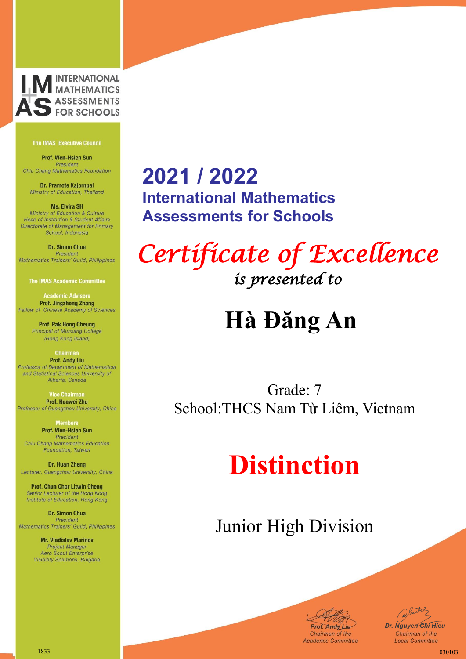

Prof. Wen-Hsien Sun President Chiu Chang Mathematics Foundation

Dr. Pramote Kajornpai Ministry of Education, Thailand

**Ms. Elvira SH** Ministry of Education & Culture Head of Institution & Student Affairs Directorate of Management for Primary School, Indonesia

Dr. Simon Chua President Mathematics Trainers' Guild, Philippines

**The IMAS Academic Committee** 

**Academic Advisors Prof. Jingzhong Zhang** Fellow of Chinese Academy of Sciences

> **Prof. Pak Hong Cheung** Principal of Munsang College (Hong Kong Island)

**Chairman Prof. Andy Liu** Professor of Department of Mathematical and Statistical Sciences University of Alberta, Canada

**Vice Chairma** Prof. Huawei Zhu Professor of Guangzhou University, China

> **Members** Prof. Wen-Hsien Sun President

Chiu Chang Mathematics Education Foundation, Taiwan

Dr. Huan Zheng Lecturer, Guangzhou University, China

**Prof. Chun Chor Litwin Cheng** Senior Lecturer of the Hong Kong Institute of Education, Hong Kong

Dr. Simon Chua President Mathematics Trainers' Guild, Philippines

> **Mr. Vladislav Marinov Project Manager** Aero Scout Enterprise Visibility Solutions, Bulgaria

### **2021 / 2022 International Mathematics Assessments for Schools**

*Certificate of Excellence is presented to* 

## **Hà Đăng An**

Grade: 7 School:THCS Nam Từ Liêm, Vietnam

## **Distinction**



Junited *Dr. Nguyen Chi Hieu* Chairman of the **Local Committee**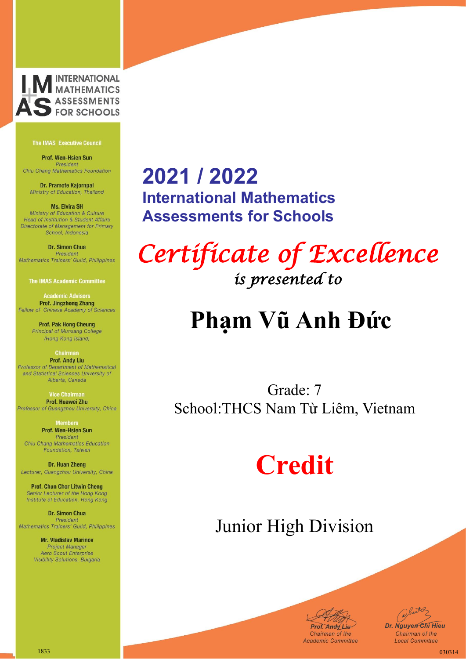

Prof. Wen-Hsien Sun President Chiu Chang Mathematics Foundation

Dr. Pramote Kajornpai Ministry of Education, Thailand

**Ms. Elvira SH** Ministry of Education & Culture Head of Institution & Student Affairs Directorate of Management for Primary School, Indonesia

Dr. Simon Chua President Mathematics Trainers' Guild, Philippines

**The IMAS Academic Committee** 

**Academic Advisors Prof. Jingzhong Zhang** Fellow of Chinese Academy of Sciences

> **Prof. Pak Hong Cheung** Principal of Munsang College (Hong Kong Island)

**Chairman Prof. Andy Liu** Professor of Department of Mathematical and Statistical Sciences University of Alberta, Canada

**Vice Chairma** Prof. Huawei Zhu Professor of Guangzhou University, China

> **Members** Prof. Wen-Hsien Sun President

Chiu Chang Mathematics Education Foundation, Taiwan

Dr. Huan Zheng Lecturer, Guangzhou University, China

**Prof. Chun Chor Litwin Cheng** Senior Lecturer of the Hong Kong Institute of Education, Hong Kong

Dr. Simon Chua President Mathematics Trainers' Guild, Philippines

> **Mr. Vladislav Marinov Project Manager** Aero Scout Enterprise Visibility Solutions, Bulgaria

### **2021 / 2022 International Mathematics Assessments for Schools**

*Certificate of Excellence is presented to* 

## **Phạm Vũ Anh Đức**

Grade: 7 School:THCS Nam Từ Liêm, Vietnam

## **Credit**



Junited *Dr. Nguyen Chi Hieu* Chairman of the **Local Committee**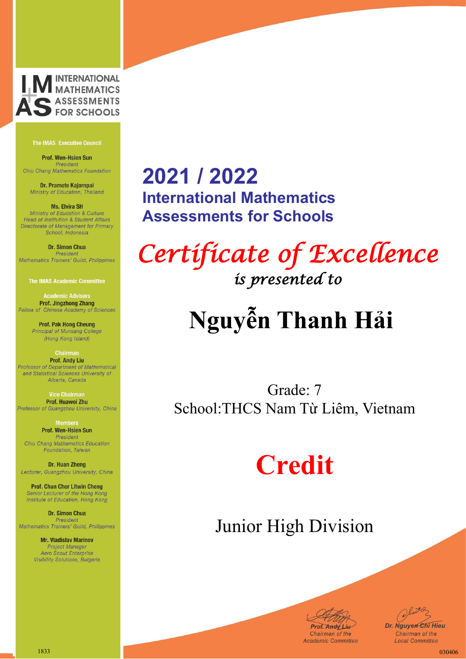

Prof. Wen-Hsien Sun President Chiu Chang Mathematics Foundation

Dr. Pramote Kajornpai Ministry of Education, Thailand

**Ms. Elvira SH** Ministry of Education & Culture Head of Institution & Student Affairs Directorate of Management for Primary School, Indonesia

Dr. Simon Chua President Mathematics Trainers' Guild, Philippines

**The IMAS Academic Committee** 

**Academic Advisors Prof. Jingzhong Zhang** Fellow of Chinese Academy of Sciences

> **Prof. Pak Hong Cheung** Principal of Munsang College (Hong Kong Island)

**Chairman Prof. Andy Liu** Professor of Department of Mathematical and Statistical Sciences University of Alberta, Canada

**Vice Chairma** Prof. Huawei Zhu Professor of Guangzhou University, China

> **Members** Prof. Wen-Hsien Sun President

Chiu Chang Mathematics Education Foundation, Taiwan

Dr. Huan Zheng Lecturer, Guangzhou University, China

**Prof. Chun Chor Litwin Cheng** Senior Lecturer of the Hong Kong Institute of Education, Hong Kong

Dr. Simon Chua President Mathematics Trainers' Guild, Philippines

> **Mr. Vladislav Marinov Project Manager** Aero Scout Enterprise Visibility Solutions, Bulgaria

### **2021 / 2022 International Mathematics Assessments for Schools**

*Certificate of Excellence is presented to* 

# **Nguyễn Thanh Hải**

Grade: 7 School:THCS Nam Từ Liêm, Vietnam

## **Credit**



Juster *Dr. Nguyen Chi Hieu* Chairman of the **Local Committee**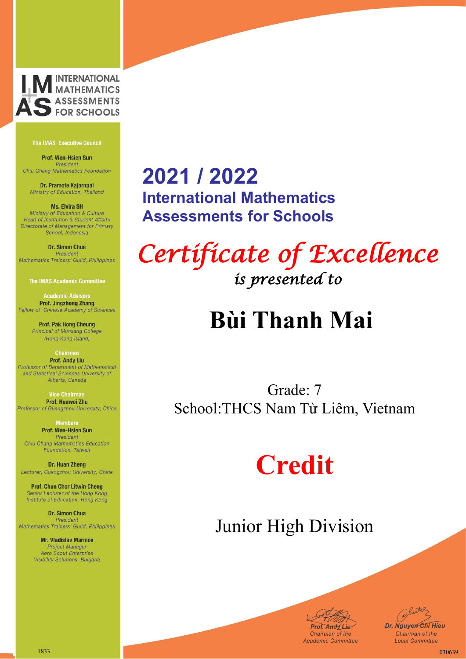

Prof. Wen-Hsien Sun President Chiu Chang Mathematics Foundation

Dr. Pramote Kajornpai Ministry of Education, Thailand

**Ms. Elvira SH** Ministry of Education & Culture Head of Institution & Student Affairs Directorate of Management for Primary School, Indonesia

Dr. Simon Chua President Mathematics Trainers' Guild, Philippines

**The IMAS Academic Committee** 

**Academic Advisors Prof. Jingzhong Zhang** Fellow of Chinese Academy of Sciences

> **Prof. Pak Hong Cheung** Principal of Munsang College (Hong Kong Island)

**Chairman Prof. Andy Liu** Professor of Department of Mathematical and Statistical Sciences University of Alberta, Canada

**Vice Chairma** Prof. Huawei Zhu Professor of Guangzhou University, China

> **Members** Prof. Wen-Hsien Sun President

Chiu Chang Mathematics Education Foundation, Taiwan

Dr. Huan Zheng Lecturer, Guangzhou University, China

**Prof. Chun Chor Litwin Cheng** Senior Lecturer of the Hong Kong Institute of Education, Hong Kong

Dr. Simon Chua President Mathematics Trainers' Guild, Philippines

> **Mr. Vladislav Marinov Project Manager** Aero Scout Enterprise Visibility Solutions, Bulgaria

### **2021 / 2022 International Mathematics Assessments for Schools**

*Certificate of Excellence is presented to* 

## **Bùi Thanh Mai**

Grade: 7 School:THCS Nam Từ Liêm, Vietnam

## **Credit**



Juster *Dr. Nguyen Chi Hieu* Chairman of the **Local Committee**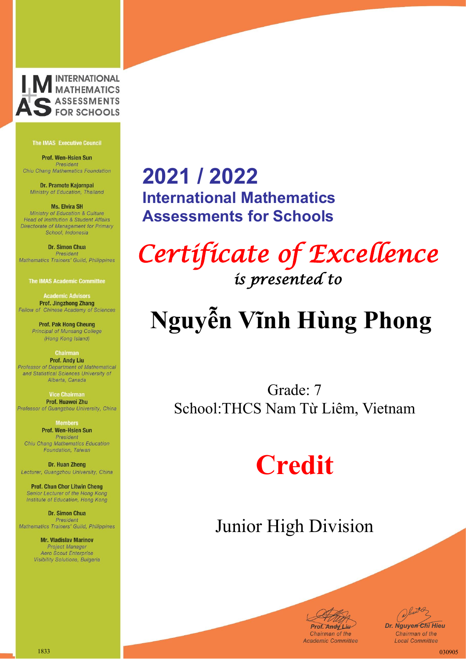

Prof. Wen-Hsien Sun President Chiu Chang Mathematics Foundation

Dr. Pramote Kajornpai Ministry of Education, Thailand

**Ms. Elvira SH** Ministry of Education & Culture Head of Institution & Student Affairs Directorate of Management for Primary School, Indonesia

Dr. Simon Chua President Mathematics Trainers' Guild, Philippines

**The IMAS Academic Committee** 

**Academic Advisors Prof. Jingzhong Zhang** Fellow of Chinese Academy of Sciences

> **Prof. Pak Hong Cheung** Principal of Munsang College (Hong Kong Island)

**Chairman Prof. Andy Liu** Professor of Department of Mathematical and Statistical Sciences University of Alberta, Canada

**Vice Chairma** Prof. Huawei Zhu Professor of Guangzhou University, China

> **Members** Prof. Wen-Hsien Sun President

Chiu Chang Mathematics Education Foundation, Taiwan

Dr. Huan Zheng Lecturer, Guangzhou University, China

**Prof. Chun Chor Litwin Cheng** Senior Lecturer of the Hong Kong Institute of Education, Hong Kong

Dr. Simon Chua President Mathematics Trainers' Guild, Philippines

> **Mr. Vladislav Marinov Project Manager** Aero Scout Enterprise Visibility Solutions, Bulgaria

### **2021 / 2022 International Mathematics Assessments for Schools**

*Certificate of Excellence is presented to* 

# **Nguyễn Vĩnh Hùng Phong**

Grade: 7 School:THCS Nam Từ Liêm, Vietnam

## **Credit**



*Dr. Nguyen Chi Hieu* Chairman of the **Local Committee**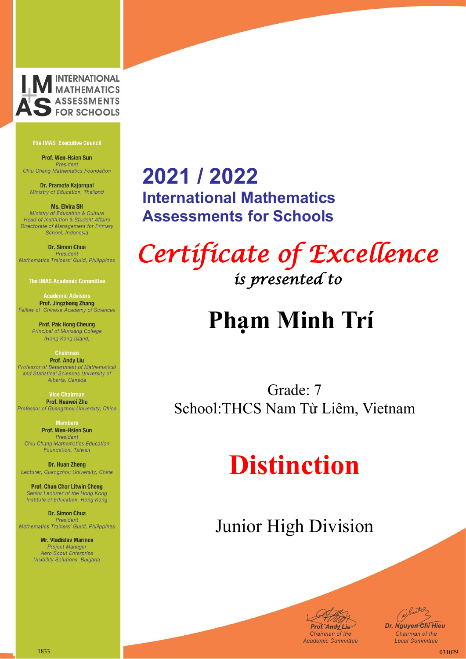

Prof. Wen-Hsien Sun President Chiu Chang Mathematics Foundation

Dr. Pramote Kajornpai Ministry of Education, Thailand

**Ms. Elvira SH** Ministry of Education & Culture Head of Institution & Student Affairs Directorate of Management for Primary School, Indonesia

Dr. Simon Chua President Mathematics Trainers' Guild, Philippines

**The IMAS Academic Committee** 

**Academic Advisors Prof. Jingzhong Zhang** Fellow of Chinese Academy of Sciences

> **Prof. Pak Hong Cheung** Principal of Munsang College (Hong Kong Island)

**Chairman Prof. Andy Liu** Professor of Department of Mathematical and Statistical Sciences University of Alberta, Canada

**Vice Chairma** Prof. Huawei Zhu Professor of Guangzhou University, China

> **Members** Prof. Wen-Hsien Sun President

Chiu Chang Mathematics Education Foundation, Taiwan

Dr. Huan Zheng Lecturer, Guangzhou University, China

**Prof. Chun Chor Litwin Cheng** Senior Lecturer of the Hong Kong Institute of Education, Hong Kong

Dr. Simon Chua President Mathematics Trainers' Guild, Philippines

> **Mr. Vladislav Marinov Project Manager** Aero Scout Enterprise Visibility Solutions, Bulgaria

### **2021 / 2022 International Mathematics Assessments for Schools**

*Certificate of Excellence is presented to* 

## **Phạm Minh Trí**

Grade: 7 School:THCS Nam Từ Liêm, Vietnam

## **Distinction**



Junited *Dr. Nguyen Chi Hieu* Chairman of the **Local Committee**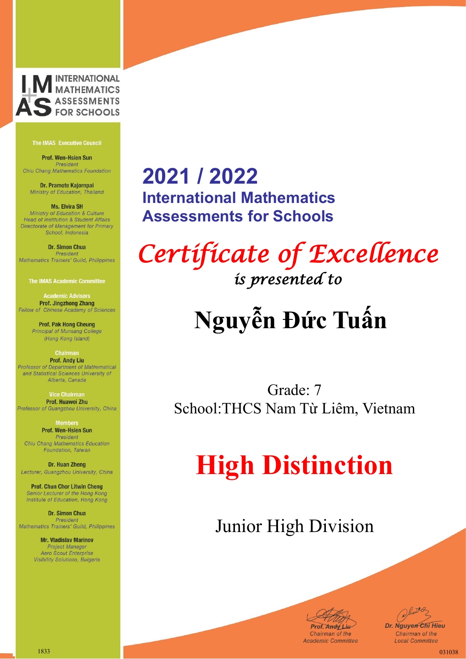

Prof. Wen-Hsien Sun President Chiu Chang Mathematics Foundation

Dr. Pramote Kajornpai Ministry of Education, Thailand

**Ms. Elvira SH** Ministry of Education & Culture Head of Institution & Student Affairs Directorate of Management for Primary School, Indonesia

**Dr. Simon Chua** President Mathematics Trainers' Guild, Philippines

**The IMAS Academic Committee** 

**Academic Advisors Prof. Jingzhong Zhang** Fellow of Chinese Academy of Sciences

> **Prof. Pak Hong Cheung** Principal of Munsang College (Hong Kong Island)

**Chairman Prof. Andy Liu** Professor of Department of Mathematical and Statistical Sciences University of Alberta, Canada

**Vice Chairma** Prof. Huawei Zhu Professor of Guangzhou University, China

> **Members** Prof. Wen-Hsien Sun President

Chiu Chang Mathematics Education Foundation, Taiwan

Dr. Huan Zheng Lecturer, Guangzhou University, China

**Prof. Chun Chor Litwin Cheng** Senior Lecturer of the Hong Kong Institute of Education, Hong Kong

Dr. Simon Chua President Mathematics Trainers' Guild, Philippines

> **Mr. Vladislav Marinov Project Manager** Aero Scout Enterprise Visibility Solutions, Bulgaria

### **2021 / 2022 International Mathematics Assessments for Schools**

*Certificate of Excellence is presented to* 

# **Nguyễn Đức Tuấn**

Grade: 7 School:THCS Nam Từ Liêm, Vietnam

# **High Distinction**



Juster *Dr. Nguyen Chi Hieu* Chairman of the **Local Committee**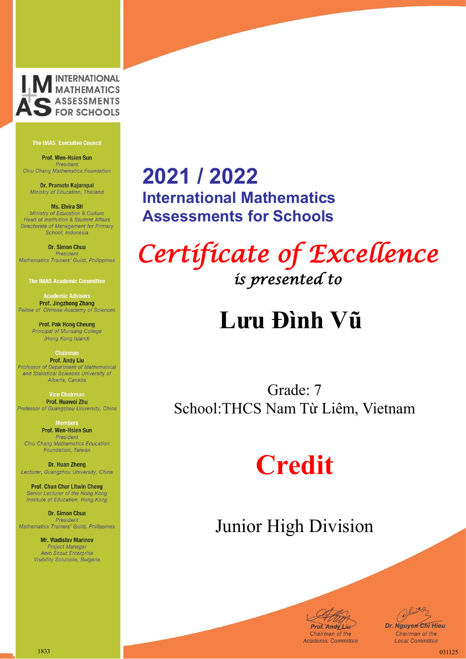

Prof. Wen-Hsien Sun President Chiu Chang Mathematics Foundation

Dr. Pramote Kajornpai Ministry of Education, Thailand

**Ms. Elvira SH** Ministry of Education & Culture Head of Institution & Student Affairs Directorate of Management for Primary School, Indonesia

Dr. Simon Chua President Mathematics Trainers' Guild, Philippines

**The IMAS Academic Committee** 

**Academic Advisors Prof. Jingzhong Zhang** Fellow of Chinese Academy of Sciences

> **Prof. Pak Hong Cheung** Principal of Munsang College (Hong Kong Island)

**Chairman Prof. Andy Liu** Professor of Department of Mathematical and Statistical Sciences University of Alberta, Canada

**Vice Chairma** Prof. Huawei Zhu Professor of Guangzhou University, China

> **Members** Prof. Wen-Hsien Sun President

Chiu Chang Mathematics Education Foundation, Taiwan

Dr. Huan Zheng Lecturer, Guangzhou University, China

**Prof. Chun Chor Litwin Cheng** Senior Lecturer of the Hong Kong Institute of Education, Hong Kong

Dr. Simon Chua President Mathematics Trainers' Guild, Philippines

> **Mr. Vladislav Marinov Project Manager** Aero Scout Enterprise Visibility Solutions, Bulgaria

### **2021 / 2022 International Mathematics Assessments for Schools**

*Certificate of Excellence is presented to* 

## **Lưu Đình Vũ**

Grade: 7 School:THCS Nam Từ Liêm, Vietnam

## **Credit**



Junited *Dr. Nguyen Chi Hieu* Chairman of the **Local Committee**